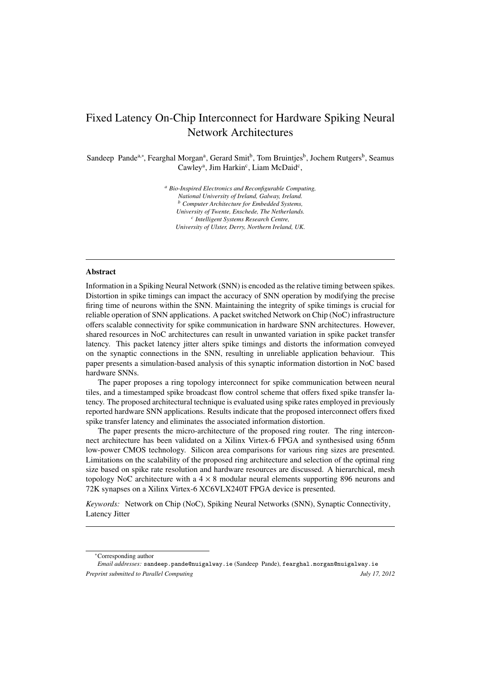# Fixed Latency On-Chip Interconnect for Hardware Spiking Neural Network Architectures

Sandeep Pande<sup>a,∗</sup>, Fearghal Morgan<sup>a</sup>, Gerard Smit<sup>b</sup>, Tom Bruintjes<sup>b</sup>, Jochem Rutgers<sup>b</sup>, Seamus Cawley<sup>a</sup>, Jim Harkin<sup>c</sup>, Liam McDaid<sup>c</sup>,

> *<sup>a</sup> Bio-Inspired Electronics and Reconfigurable Computing, National University of Ireland, Galway, Ireland. <sup>b</sup> Computer Architecture for Embedded Systems, University of Twente, Enschede, The Netherlands. c Intelligent Systems Research Centre, University of Ulster, Derry, Northern Ireland, UK.*

#### Abstract

Information in a Spiking Neural Network (SNN) is encoded as the relative timing between spikes. Distortion in spike timings can impact the accuracy of SNN operation by modifying the precise firing time of neurons within the SNN. Maintaining the integrity of spike timings is crucial for reliable operation of SNN applications. A packet switched Network on Chip (NoC) infrastructure offers scalable connectivity for spike communication in hardware SNN architectures. However, shared resources in NoC architectures can result in unwanted variation in spike packet transfer latency. This packet latency jitter alters spike timings and distorts the information conveyed on the synaptic connections in the SNN, resulting in unreliable application behaviour. This paper presents a simulation-based analysis of this synaptic information distortion in NoC based hardware SNNs.

The paper proposes a ring topology interconnect for spike communication between neural tiles, and a timestamped spike broadcast flow control scheme that offers fixed spike transfer latency. The proposed architectural technique is evaluated using spike rates employed in previously reported hardware SNN applications. Results indicate that the proposed interconnect offers fixed spike transfer latency and eliminates the associated information distortion.

The paper presents the micro-architecture of the proposed ring router. The ring interconnect architecture has been validated on a Xilinx Virtex-6 FPGA and synthesised using 65nm low-power CMOS technology. Silicon area comparisons for various ring sizes are presented. Limitations on the scalability of the proposed ring architecture and selection of the optimal ring size based on spike rate resolution and hardware resources are discussed. A hierarchical, mesh topology NoC architecture with a  $4 \times 8$  modular neural elements supporting 896 neurons and 72K synapses on a Xilinx Virtex-6 XC6VLX240T FPGA device is presented.

*Keywords:* Network on Chip (NoC), Spiking Neural Networks (SNN), Synaptic Connectivity, Latency Jitter

<sup>∗</sup>Corresponding author

*Email addresses:* sandeep.pande@nuigalway.ie (Sandeep Pande), fearghal.morgan@nuigalway.ie *Preprint submitted to Parallel Computing July 17, 2012*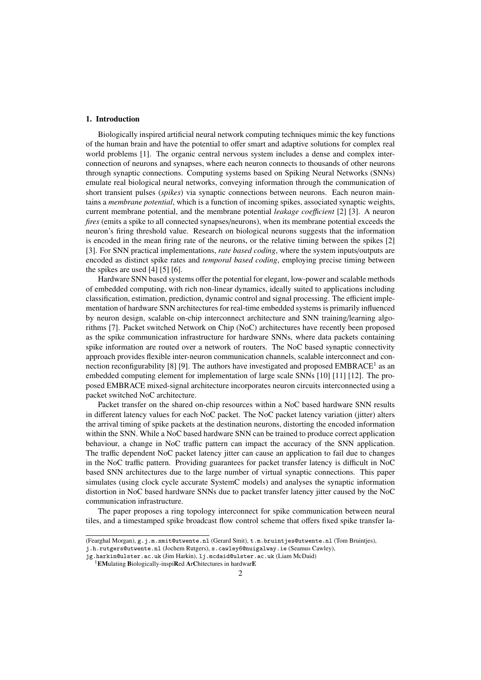# 1. Introduction

Biologically inspired artificial neural network computing techniques mimic the key functions of the human brain and have the potential to offer smart and adaptive solutions for complex real world problems [1]. The organic central nervous system includes a dense and complex interconnection of neurons and synapses, where each neuron connects to thousands of other neurons through synaptic connections. Computing systems based on Spiking Neural Networks (SNNs) emulate real biological neural networks, conveying information through the communication of short transient pulses (*spikes*) via synaptic connections between neurons. Each neuron maintains a *membrane potential*, which is a function of incoming spikes, associated synaptic weights, current membrane potential, and the membrane potential *leakage coe*ffi*cient* [2] [3]. A neuron *fires* (emits a spike to all connected synapses/neurons), when its membrane potential exceeds the neuron's firing threshold value. Research on biological neurons suggests that the information is encoded in the mean firing rate of the neurons, or the relative timing between the spikes [2] [3]. For SNN practical implementations, *rate based coding*, where the system inputs/outputs are encoded as distinct spike rates and *temporal based coding*, employing precise timing between the spikes are used [4] [5] [6].

Hardware SNN based systems offer the potential for elegant, low-power and scalable methods of embedded computing, with rich non-linear dynamics, ideally suited to applications including classification, estimation, prediction, dynamic control and signal processing. The efficient implementation of hardware SNN architectures for real-time embedded systems is primarily influenced by neuron design, scalable on-chip interconnect architecture and SNN training/learning algorithms [7]. Packet switched Network on Chip (NoC) architectures have recently been proposed as the spike communication infrastructure for hardware SNNs, where data packets containing spike information are routed over a network of routers. The NoC based synaptic connectivity approach provides flexible inter-neuron communication channels, scalable interconnect and connection reconfigurability [8] [9]. The authors have investigated and proposed  $EMBRACE<sup>1</sup>$  as an embedded computing element for implementation of large scale SNNs [10] [11] [12]. The proposed EMBRACE mixed-signal architecture incorporates neuron circuits interconnected using a packet switched NoC architecture.

Packet transfer on the shared on-chip resources within a NoC based hardware SNN results in different latency values for each NoC packet. The NoC packet latency variation (jitter) alters the arrival timing of spike packets at the destination neurons, distorting the encoded information within the SNN. While a NoC based hardware SNN can be trained to produce correct application behaviour, a change in NoC traffic pattern can impact the accuracy of the SNN application. The traffic dependent NoC packet latency jitter can cause an application to fail due to changes in the NoC traffic pattern. Providing guarantees for packet transfer latency is difficult in NoC based SNN architectures due to the large number of virtual synaptic connections. This paper simulates (using clock cycle accurate SystemC models) and analyses the synaptic information distortion in NoC based hardware SNNs due to packet transfer latency jitter caused by the NoC communication infrastructure.

The paper proposes a ring topology interconnect for spike communication between neural tiles, and a timestamped spike broadcast flow control scheme that offers fixed spike transfer la-

<sup>(</sup>Fearghal Morgan), g.j.m.smit@utwente.nl (Gerard Smit), t.m.bruintjes@utwente.nl (Tom Bruintjes), j.h.rutgers@utwente.nl (Jochem Rutgers), s.cawley6@nuigalway.ie (Seamus Cawley),

jg.harkin@ulster.ac.uk (Jim Harkin), lj.mcdaid@ulster.ac.uk (Liam McDaid)

<sup>&</sup>lt;sup>1</sup>EMulating Biologically-inspiRed ArChitectures in hardwarE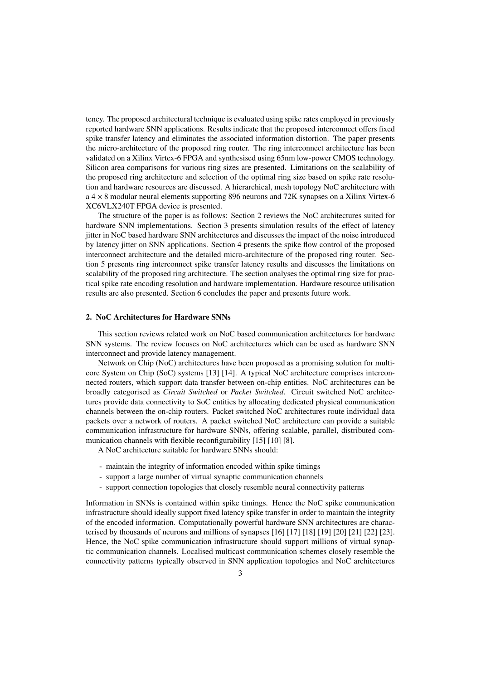tency. The proposed architectural technique is evaluated using spike rates employed in previously reported hardware SNN applications. Results indicate that the proposed interconnect offers fixed spike transfer latency and eliminates the associated information distortion. The paper presents the micro-architecture of the proposed ring router. The ring interconnect architecture has been validated on a Xilinx Virtex-6 FPGA and synthesised using 65nm low-power CMOS technology. Silicon area comparisons for various ring sizes are presented. Limitations on the scalability of the proposed ring architecture and selection of the optimal ring size based on spike rate resolution and hardware resources are discussed. A hierarchical, mesh topology NoC architecture with  $a 4 \times 8$  modular neural elements supporting 896 neurons and 72K synapses on a Xilinx Virtex-6 XC6VLX240T FPGA device is presented.

The structure of the paper is as follows: Section 2 reviews the NoC architectures suited for hardware SNN implementations. Section 3 presents simulation results of the effect of latency jitter in NoC based hardware SNN architectures and discusses the impact of the noise introduced by latency jitter on SNN applications. Section 4 presents the spike flow control of the proposed interconnect architecture and the detailed micro-architecture of the proposed ring router. Section 5 presents ring interconnect spike transfer latency results and discusses the limitations on scalability of the proposed ring architecture. The section analyses the optimal ring size for practical spike rate encoding resolution and hardware implementation. Hardware resource utilisation results are also presented. Section 6 concludes the paper and presents future work.

#### 2. NoC Architectures for Hardware SNNs

This section reviews related work on NoC based communication architectures for hardware SNN systems. The review focuses on NoC architectures which can be used as hardware SNN interconnect and provide latency management.

Network on Chip (NoC) architectures have been proposed as a promising solution for multicore System on Chip (SoC) systems [13] [14]. A typical NoC architecture comprises interconnected routers, which support data transfer between on-chip entities. NoC architectures can be broadly categorised as *Circuit Switched* or *Packet Switched*. Circuit switched NoC architectures provide data connectivity to SoC entities by allocating dedicated physical communication channels between the on-chip routers. Packet switched NoC architectures route individual data packets over a network of routers. A packet switched NoC architecture can provide a suitable communication infrastructure for hardware SNNs, offering scalable, parallel, distributed communication channels with flexible reconfigurability [15] [10] [8].

A NoC architecture suitable for hardware SNNs should:

- maintain the integrity of information encoded within spike timings
- support a large number of virtual synaptic communication channels
- support connection topologies that closely resemble neural connectivity patterns

Information in SNNs is contained within spike timings. Hence the NoC spike communication infrastructure should ideally support fixed latency spike transfer in order to maintain the integrity of the encoded information. Computationally powerful hardware SNN architectures are characterised by thousands of neurons and millions of synapses [16] [17] [18] [19] [20] [21] [22] [23]. Hence, the NoC spike communication infrastructure should support millions of virtual synaptic communication channels. Localised multicast communication schemes closely resemble the connectivity patterns typically observed in SNN application topologies and NoC architectures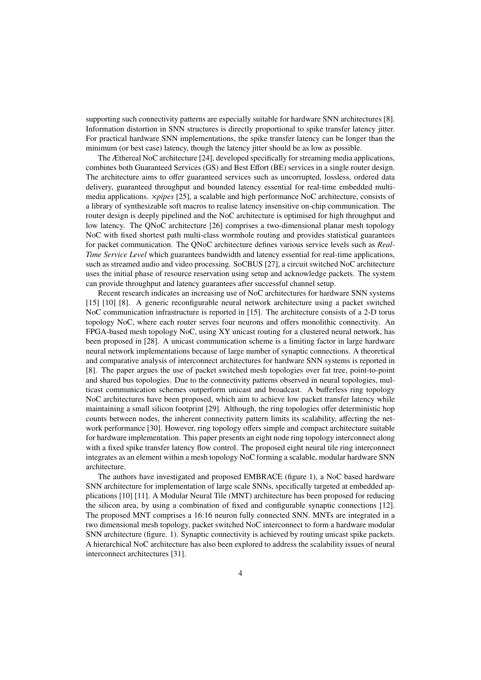supporting such connectivity patterns are especially suitable for hardware SNN architectures [8]. Information distortion in SNN structures is directly proportional to spike transfer latency jitter. For practical hardware SNN implementations, the spike transfer latency can be longer than the minimum (or best case) latency, though the latency jitter should be as low as possible.

The Æthereal NoC architecture [24], developed specifically for streaming media applications, combines both Guaranteed Services (GS) and Best Effort (BE) services in a single router design. The architecture aims to offer guaranteed services such as uncorrupted, lossless, ordered data delivery, guaranteed throughput and bounded latency essential for real-time embedded multimedia applications. ×*pipes* [25], a scalable and high performance NoC architecture, consists of a library of synthesizable soft macros to realise latency insensitive on-chip communication. The router design is deeply pipelined and the NoC architecture is optimised for high throughput and low latency. The QNoC architecture [26] comprises a two-dimensional planar mesh topology NoC with fixed shortest path multi-class wormhole routing and provides statistical guarantees for packet communication. The QNoC architecture defines various service levels such as *Real-Time Service Level* which guarantees bandwidth and latency essential for real-time applications, such as streamed audio and video processing. SoCBUS [27], a circuit switched NoC architecture uses the initial phase of resource reservation using setup and acknowledge packets. The system can provide throughput and latency guarantees after successful channel setup.

Recent research indicates an increasing use of NoC architectures for hardware SNN systems [15] [10] [8]. A generic reconfigurable neural network architecture using a packet switched NoC communication infrastructure is reported in [15]. The architecture consists of a 2-D torus topology NoC, where each router serves four neurons and offers monolithic connectivity. An FPGA-based mesh topology NoC, using XY unicast routing for a clustered neural network, has been proposed in [28]. A unicast communication scheme is a limiting factor in large hardware neural network implementations because of large number of synaptic connections. A theoretical and comparative analysis of interconnect architectures for hardware SNN systems is reported in [8]. The paper argues the use of packet switched mesh topologies over fat tree, point-to-point and shared bus topologies. Due to the connectivity patterns observed in neural topologies, multicast communication schemes outperform unicast and broadcast. A bufferless ring topology NoC architectures have been proposed, which aim to achieve low packet transfer latency while maintaining a small silicon footprint [29]. Although, the ring topologies offer deterministic hop counts between nodes, the inherent connectivity pattern limits its scalability, affecting the network performance [30]. However, ring topology offers simple and compact architecture suitable for hardware implementation. This paper presents an eight node ring topology interconnect along with a fixed spike transfer latency flow control. The proposed eight neural tile ring interconnect integrates as an element within a mesh topology NoC forming a scalable, modular hardware SNN architecture.

The authors have investigated and proposed EMBRACE (figure 1), a NoC based hardware SNN architecture for implementation of large scale SNNs, specifically targeted at embedded applications [10] [11]. A Modular Neural Tile (MNT) architecture has been proposed for reducing the silicon area, by using a combination of fixed and configurable synaptic connections [12]. The proposed MNT comprises a 16:16 neuron fully connected SNN. MNTs are integrated in a two dimensional mesh topology, packet switched NoC interconnect to form a hardware modular SNN architecture (figure. 1). Synaptic connectivity is achieved by routing unicast spike packets. A hierarchical NoC architecture has also been explored to address the scalability issues of neural interconnect architectures [31].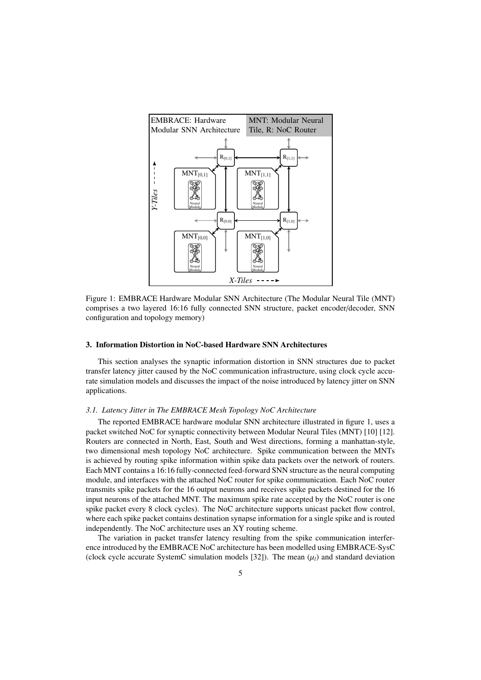

Figure 1: EMBRACE Hardware Modular SNN Architecture (The Modular Neural Tile (MNT) comprises a two layered 16:16 fully connected SNN structure, packet encoder/decoder, SNN configuration and topology memory)

## 3. Information Distortion in NoC-based Hardware SNN Architectures

This section analyses the synaptic information distortion in SNN structures due to packet transfer latency jitter caused by the NoC communication infrastructure, using clock cycle accurate simulation models and discusses the impact of the noise introduced by latency jitter on SNN applications.

#### *3.1. Latency Jitter in The EMBRACE Mesh Topology NoC Architecture*

The reported EMBRACE hardware modular SNN architecture illustrated in figure 1, uses a packet switched NoC for synaptic connectivity between Modular Neural Tiles (MNT) [10] [12]. Routers are connected in North, East, South and West directions, forming a manhattan-style, two dimensional mesh topology NoC architecture. Spike communication between the MNTs is achieved by routing spike information within spike data packets over the network of routers. Each MNT contains a 16:16 fully-connected feed-forward SNN structure as the neural computing module, and interfaces with the attached NoC router for spike communication. Each NoC router transmits spike packets for the 16 output neurons and receives spike packets destined for the 16 input neurons of the attached MNT. The maximum spike rate accepted by the NoC router is one spike packet every 8 clock cycles). The NoC architecture supports unicast packet flow control, where each spike packet contains destination synapse information for a single spike and is routed independently. The NoC architecture uses an XY routing scheme.

The variation in packet transfer latency resulting from the spike communication interference introduced by the EMBRACE NoC architecture has been modelled using EMBRACE-SysC (clock cycle accurate SystemC simulation models [32]). The mean  $(\mu_l)$  and standard deviation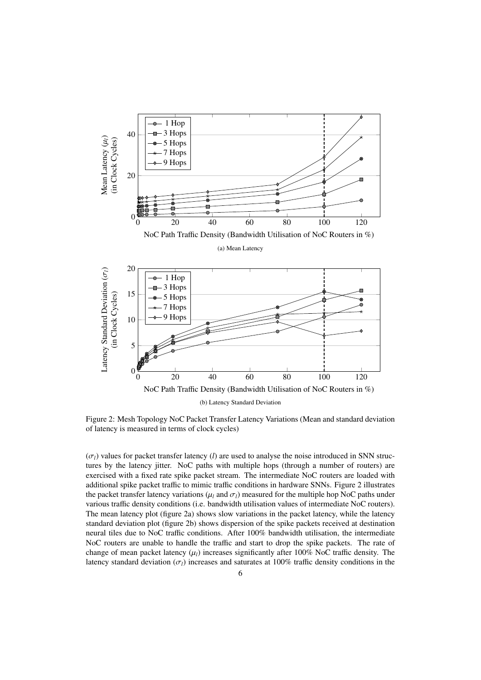

Figure 2: Mesh Topology NoC Packet Transfer Latency Variations (Mean and standard deviation of latency is measured in terms of clock cycles)

 $(\sigma_l)$  values for packet transfer latency (*l*) are used to analyse the noise introduced in SNN structures by the latency jitter. NoC paths with multiple hops (through a number of routers) are exercised with a fixed rate spike packet stream. The intermediate NoC routers are loaded with additional spike packet traffic to mimic traffic conditions in hardware SNNs. Figure 2 illustrates the packet transfer latency variations ( $\mu_l$  and  $\sigma_l$ ) measured for the multiple hop NoC paths under various traffic density conditions (i.e. bandwidth utilisation values of intermediate NoC routers). The mean latency plot (figure 2a) shows slow variations in the packet latency, while the latency standard deviation plot (figure 2b) shows dispersion of the spike packets received at destination neural tiles due to NoC traffic conditions. After 100% bandwidth utilisation, the intermediate NoC routers are unable to handle the traffic and start to drop the spike packets. The rate of change of mean packet latency  $(\mu_l)$  increases significantly after 100% NoC traffic density. The latency standard deviation ( $\sigma_l$ ) increases and saturates at 100% traffic density conditions in the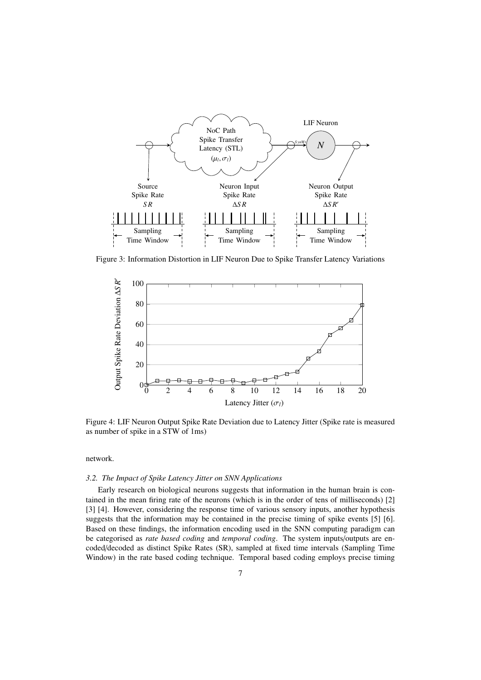

Figure 3: Information Distortion in LIF Neuron Due to Spike Transfer Latency Variations



Figure 4: LIF Neuron Output Spike Rate Deviation due to Latency Jitter (Spike rate is measured as number of spike in a STW of 1ms)

#### network.

#### *3.2. The Impact of Spike Latency Jitter on SNN Applications*

Early research on biological neurons suggests that information in the human brain is contained in the mean firing rate of the neurons (which is in the order of tens of milliseconds) [2] [3] [4]. However, considering the response time of various sensory inputs, another hypothesis suggests that the information may be contained in the precise timing of spike events [5] [6]. Based on these findings, the information encoding used in the SNN computing paradigm can be categorised as *rate based coding* and *temporal coding*. The system inputs/outputs are encoded/decoded as distinct Spike Rates (SR), sampled at fixed time intervals (Sampling Time Window) in the rate based coding technique. Temporal based coding employs precise timing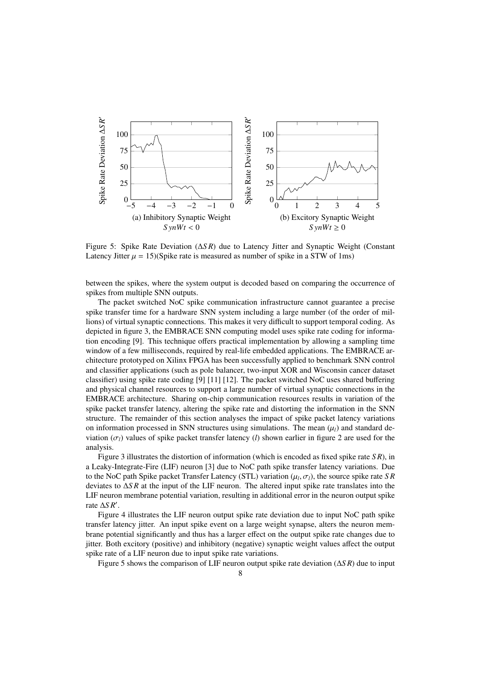

Figure 5: Spike Rate Deviation (∆*S R*) due to Latency Jitter and Synaptic Weight (Constant Latency Jitter  $\mu = 15$ )(Spike rate is measured as number of spike in a STW of 1ms)

between the spikes, where the system output is decoded based on comparing the occurrence of spikes from multiple SNN outputs.

The packet switched NoC spike communication infrastructure cannot guarantee a precise spike transfer time for a hardware SNN system including a large number (of the order of millions) of virtual synaptic connections. This makes it very difficult to support temporal coding. As depicted in figure 3, the EMBRACE SNN computing model uses spike rate coding for information encoding [9]. This technique offers practical implementation by allowing a sampling time window of a few milliseconds, required by real-life embedded applications. The EMBRACE architecture prototyped on Xilinx FPGA has been successfully applied to benchmark SNN control and classifier applications (such as pole balancer, two-input XOR and Wisconsin cancer dataset classifier) using spike rate coding [9] [11] [12]. The packet switched NoC uses shared buffering and physical channel resources to support a large number of virtual synaptic connections in the EMBRACE architecture. Sharing on-chip communication resources results in variation of the spike packet transfer latency, altering the spike rate and distorting the information in the SNN structure. The remainder of this section analyses the impact of spike packet latency variations on information processed in SNN structures using simulations. The mean  $(\mu_l)$  and standard deviation ( $\sigma_l$ ) values of spike packet transfer latency (*l*) shown earlier in figure 2 are used for the analysis.

Figure 3 illustrates the distortion of information (which is encoded as fixed spike rate *S R*), in a Leaky-Integrate-Fire (LIF) neuron [3] due to NoC path spike transfer latency variations. Due to the NoC path Spike packet Transfer Latency (STL) variation  $(\mu_l, \sigma_l)$ , the source spike rate *SR*<br>deviates to ASR at the input of the LIE peuron. The altered input spike rate translates into the deviates to ∆*S R* at the input of the LIF neuron. The altered input spike rate translates into the LIF neuron membrane potential variation, resulting in additional error in the neuron output spike rate ∆*S R*<sup>0</sup> .

Figure 4 illustrates the LIF neuron output spike rate deviation due to input NoC path spike transfer latency jitter. An input spike event on a large weight synapse, alters the neuron membrane potential significantly and thus has a larger effect on the output spike rate changes due to jitter. Both excitory (positive) and inhibitory (negative) synaptic weight values affect the output spike rate of a LIF neuron due to input spike rate variations.

Figure 5 shows the comparison of LIF neuron output spike rate deviation (∆*S R*) due to input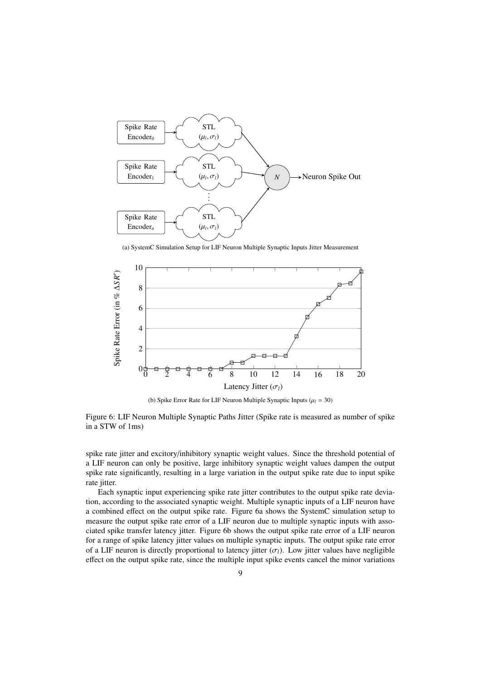

(a) SystemC Simulation Setup for LIF Neuron Multiple Synaptic Inputs Jitter Measurement



(b) Spike Error Rate for LIF Neuron Multiple Synaptic Inputs  $(\mu_l = 30)$ 

Figure 6: LIF Neuron Multiple Synaptic Paths Jitter (Spike rate is measured as number of spike in a STW of 1ms)

spike rate jitter and excitory/inhibitory synaptic weight values. Since the threshold potential of a LIF neuron can only be positive, large inhibitory synaptic weight values dampen the output spike rate significantly, resulting in a large variation in the output spike rate due to input spike rate jitter.

Each synaptic input experiencing spike rate jitter contributes to the output spike rate deviation, according to the associated synaptic weight. Multiple synaptic inputs of a LIF neuron have a combined effect on the output spike rate. Figure 6a shows the SystemC simulation setup to measure the output spike rate error of a LIF neuron due to multiple synaptic inputs with associated spike transfer latency jitter. Figure 6b shows the output spike rate error of a LIF neuron for a range of spike latency jitter values on multiple synaptic inputs. The output spike rate error of a LIF neuron is directly proportional to latency jitter  $(\sigma_l)$ . Low jitter values have negligible effect on the output spike rate, since the multiple input spike events cancel the minor variations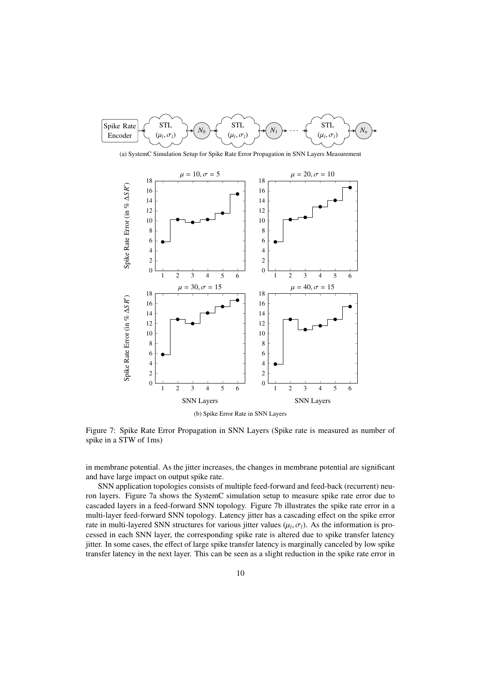

Figure 7: Spike Rate Error Propagation in SNN Layers (Spike rate is measured as number of spike in a STW of 1ms)

in membrane potential. As the jitter increases, the changes in membrane potential are significant and have large impact on output spike rate.

SNN application topologies consists of multiple feed-forward and feed-back (recurrent) neuron layers. Figure 7a shows the SystemC simulation setup to measure spike rate error due to cascaded layers in a feed-forward SNN topology. Figure 7b illustrates the spike rate error in a multi-layer feed-forward SNN topology. Latency jitter has a cascading effect on the spike error rate in multi-layered SNN structures for various jitter values  $(\mu_l, \sigma_l)$ . As the information is pro-<br>cessed in each SNN layer, the corresponding spike rate is altered due to spike transfer latency cessed in each SNN layer, the corresponding spike rate is altered due to spike transfer latency jitter. In some cases, the effect of large spike transfer latency is marginally canceled by low spike transfer latency in the next layer. This can be seen as a slight reduction in the spike rate error in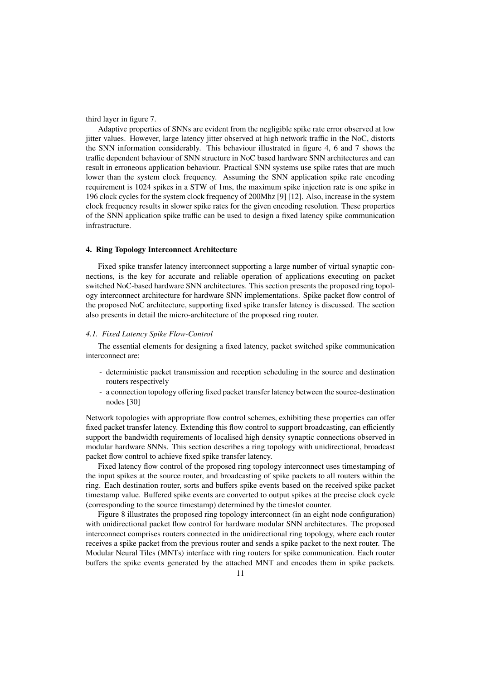third layer in figure 7.

Adaptive properties of SNNs are evident from the negligible spike rate error observed at low jitter values. However, large latency jitter observed at high network traffic in the NoC, distorts the SNN information considerably. This behaviour illustrated in figure 4, 6 and 7 shows the traffic dependent behaviour of SNN structure in NoC based hardware SNN architectures and can result in erroneous application behaviour. Practical SNN systems use spike rates that are much lower than the system clock frequency. Assuming the SNN application spike rate encoding requirement is 1024 spikes in a STW of 1ms, the maximum spike injection rate is one spike in 196 clock cycles for the system clock frequency of 200Mhz [9] [12]. Also, increase in the system clock frequency results in slower spike rates for the given encoding resolution. These properties of the SNN application spike traffic can be used to design a fixed latency spike communication infrastructure.

#### 4. Ring Topology Interconnect Architecture

Fixed spike transfer latency interconnect supporting a large number of virtual synaptic connections, is the key for accurate and reliable operation of applications executing on packet switched NoC-based hardware SNN architectures. This section presents the proposed ring topology interconnect architecture for hardware SNN implementations. Spike packet flow control of the proposed NoC architecture, supporting fixed spike transfer latency is discussed. The section also presents in detail the micro-architecture of the proposed ring router.

#### *4.1. Fixed Latency Spike Flow-Control*

The essential elements for designing a fixed latency, packet switched spike communication interconnect are:

- deterministic packet transmission and reception scheduling in the source and destination routers respectively
- a connection topology offering fixed packet transfer latency between the source-destination nodes [30]

Network topologies with appropriate flow control schemes, exhibiting these properties can offer fixed packet transfer latency. Extending this flow control to support broadcasting, can efficiently support the bandwidth requirements of localised high density synaptic connections observed in modular hardware SNNs. This section describes a ring topology with unidirectional, broadcast packet flow control to achieve fixed spike transfer latency.

Fixed latency flow control of the proposed ring topology interconnect uses timestamping of the input spikes at the source router, and broadcasting of spike packets to all routers within the ring. Each destination router, sorts and buffers spike events based on the received spike packet timestamp value. Buffered spike events are converted to output spikes at the precise clock cycle (corresponding to the source timestamp) determined by the timeslot counter.

Figure 8 illustrates the proposed ring topology interconnect (in an eight node configuration) with unidirectional packet flow control for hardware modular SNN architectures. The proposed interconnect comprises routers connected in the unidirectional ring topology, where each router receives a spike packet from the previous router and sends a spike packet to the next router. The Modular Neural Tiles (MNTs) interface with ring routers for spike communication. Each router buffers the spike events generated by the attached MNT and encodes them in spike packets.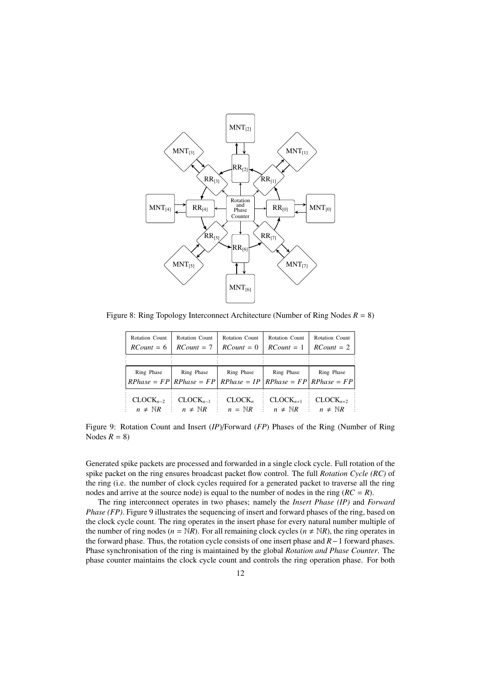

Figure 8: Ring Topology Interconnect Architecture (Number of Ring Nodes  $R = 8$ )

| Rotation Count       | Rotation Count                                                                      | Rotation Count     | Rotation Count       | Rotation Count       |
|----------------------|-------------------------------------------------------------------------------------|--------------------|----------------------|----------------------|
| $RCount = 6$         | $RCount = 7$                                                                        | $RCount = 0$       | $RCount = 1$         | $RCount = 2$         |
|                      |                                                                                     |                    |                      |                      |
| Ring Phase           | Ring Phase<br>$RPhase = FP   RPhase = FP   RPhase = IP   RPhase = FP   RPhase = FP$ | Ring Phase         | Ring Phase           | Ring Phase           |
| $CLOCK_{n-2}$        | $CLOCK_{n-1}$                                                                       | CLOCK <sub>n</sub> | $CLOCK_{n+1}$        | $CLOCK_{n+2}$        |
| $n \neq \mathbb{N}R$ | $n \neq \mathbb{N}R$                                                                | $n = NR$           | $n \neq \mathbb{N}R$ | $n \neq \mathbb{N}R$ |

Figure 9: Rotation Count and Insert (*IP*)/Forward (*FP*) Phases of the Ring (Number of Ring Nodes  $R = 8$ )

Generated spike packets are processed and forwarded in a single clock cycle. Full rotation of the spike packet on the ring ensures broadcast packet flow control. The full *Rotation Cycle (RC)* of the ring (i.e. the number of clock cycles required for a generated packet to traverse all the ring nodes and arrive at the source node) is equal to the number of nodes in the ring  $(RC = R)$ .

The ring interconnect operates in two phases; namely the *Insert Phase (IP)* and *Forward Phase (FP)*. Figure 9 illustrates the sequencing of insert and forward phases of the ring, based on the clock cycle count. The ring operates in the insert phase for every natural number multiple of the number of ring nodes ( $n = \mathbb{N}R$ ). For all remaining clock cycles ( $n \neq \mathbb{N}R$ ), the ring operates in the forward phase. Thus, the rotation cycle consists of one insert phase and *R*−1 forward phases. Phase synchronisation of the ring is maintained by the global *Rotation and Phase Counter*. The phase counter maintains the clock cycle count and controls the ring operation phase. For both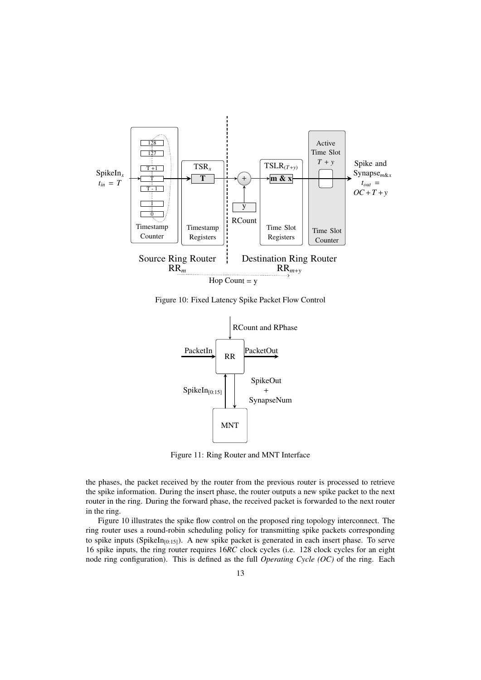

Figure 10: Fixed Latency Spike Packet Flow Control



Figure 11: Ring Router and MNT Interface

the phases, the packet received by the router from the previous router is processed to retrieve the spike information. During the insert phase, the router outputs a new spike packet to the next router in the ring. During the forward phase, the received packet is forwarded to the next router in the ring.

Figure 10 illustrates the spike flow control on the proposed ring topology interconnect. The ring router uses a round-robin scheduling policy for transmitting spike packets corresponding to spike inputs (SpikeIn $_{[0:15]}$ ). A new spike packet is generated in each insert phase. To serve 16 spike inputs, the ring router requires 16*RC* clock cycles (i.e. 128 clock cycles for an eight node ring configuration). This is defined as the full *Operating Cycle (OC)* of the ring. Each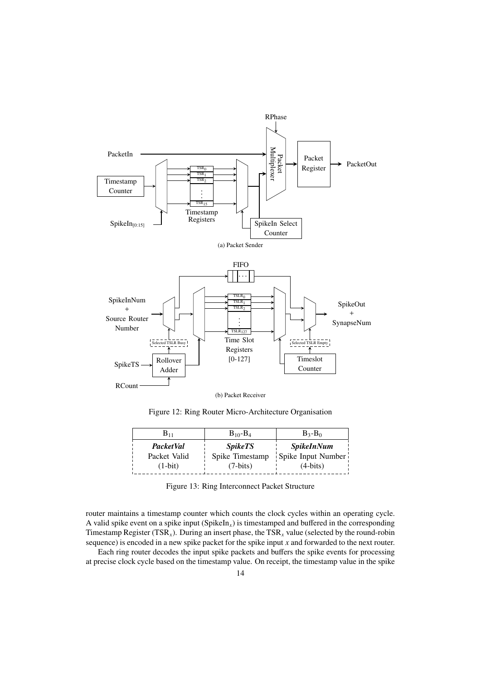

Figure 12: Ring Router Micro-Architecture Organisation

| ${\bf B}_{11}$   | $B_{10} - B_4$  | $B_3 - B_0$              |
|------------------|-----------------|--------------------------|
| <b>PacketVal</b> | <i>SpikeTS</i>  | <i><b>SpikeInNum</b></i> |
| Packet Valid     | Spike Timestamp | Spike Input Number       |
| $(1-bit)$        | $(7-bits)$      | $(4-bits)$               |

Figure 13: Ring Interconnect Packet Structure

router maintains a timestamp counter which counts the clock cycles within an operating cycle. A valid spike event on a spike input (SpikeIn*x*) is timestamped and buffered in the corresponding Timestamp Register (TSR<sub>x</sub>). During an insert phase, the TSR<sub>x</sub> value (selected by the round-robin sequence) is encoded in a new spike packet for the spike input *x* and forwarded to the next router.

Each ring router decodes the input spike packets and buffers the spike events for processing at precise clock cycle based on the timestamp value. On receipt, the timestamp value in the spike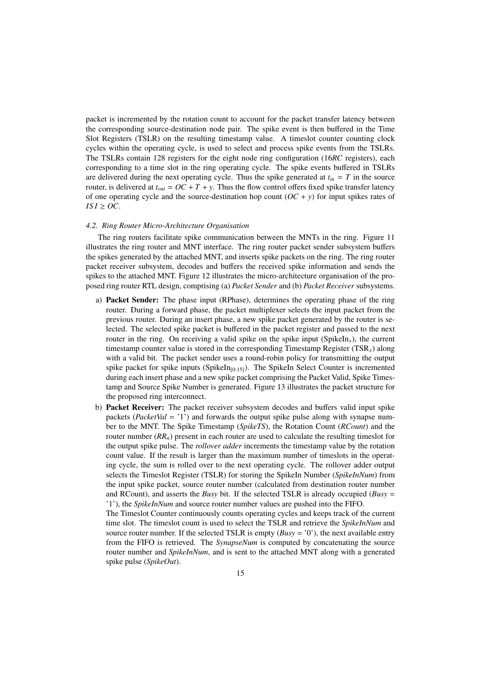packet is incremented by the rotation count to account for the packet transfer latency between the corresponding source-destination node pair. The spike event is then buffered in the Time Slot Registers (TSLR) on the resulting timestamp value. A timeslot counter counting clock cycles within the operating cycle, is used to select and process spike events from the TSLRs. The TSLRs contain 128 registers for the eight node ring configuration (16*RC* registers), each corresponding to a time slot in the ring operating cycle. The spike events buffered in TSLRs are delivered during the next operating cycle. Thus the spike generated at  $t_{in} = T$  in the source router, is delivered at  $t_{out} = OC + T + y$ . Thus the flow control offers fixed spike transfer latency of one operating cycle and the source-destination hop count  $(OC + y)$  for input spikes rates of  $ISI \geq OC$ .

#### *4.2. Ring Router Micro-Architecture Organisation*

The ring routers facilitate spike communication between the MNTs in the ring. Figure 11 illustrates the ring router and MNT interface. The ring router packet sender subsystem buffers the spikes generated by the attached MNT, and inserts spike packets on the ring. The ring router packet receiver subsystem, decodes and buffers the received spike information and sends the spikes to the attached MNT. Figure 12 illustrates the micro-architecture organisation of the proposed ring router RTL design, comprising (a) *Packet Sender* and (b) *Packet Receiver* subsystems.

- a) Packet Sender: The phase input (RPhase), determines the operating phase of the ring router. During a forward phase, the packet multiplexer selects the input packet from the previous router. During an insert phase, a new spike packet generated by the router is selected. The selected spike packet is buffered in the packet register and passed to the next router in the ring. On receiving a valid spike on the spike input  $(SpikeIn<sub>x</sub>)$ , the current timestamp counter value is stored in the corresponding Timestamp Register (TSR*x*) along with a valid bit. The packet sender uses a round-robin policy for transmitting the output spike packet for spike inputs (SpikeIn $_{[0:15]}$ ). The SpikeIn Select Counter is incremented during each insert phase and a new spike packet comprising the Packet Valid, Spike Timestamp and Source Spike Number is generated. Figure 13 illustrates the packet structure for the proposed ring interconnect.
- b) Packet Receiver: The packet receiver subsystem decodes and buffers valid input spike packets (*PacketVal* = '1') and forwards the output spike pulse along with synapse number to the MNT. The Spike Timestamp (*SpikeTS*), the Rotation Count (*RCount*) and the router number  $(RR_n)$  present in each router are used to calculate the resulting timeslot for the output spike pulse. The *rollover adder* increments the timestamp value by the rotation count value. If the result is larger than the maximum number of timeslots in the operating cycle, the sum is rolled over to the next operating cycle. The rollover adder output selects the Timeslot Register (TSLR) for storing the SpikeIn Number (*SpikeInNum*) from the input spike packet, source router number (calculated from destination router number and RCount), and asserts the *Busy* bit. If the selected TSLR is already occupied (*Busy* = '1'), the *SpikeInNum* and source router number values are pushed into the FIFO.

The Timeslot Counter continuously counts operating cycles and keeps track of the current time slot. The timeslot count is used to select the TSLR and retrieve the *SpikeInNum* and source router number. If the selected TSLR is empty  $(Busy = '0')$ , the next available entry from the FIFO is retrieved. The *SynapseNum* is computed by concatenating the source router number and *SpikeInNum*, and is sent to the attached MNT along with a generated spike pulse (*SpikeOut*).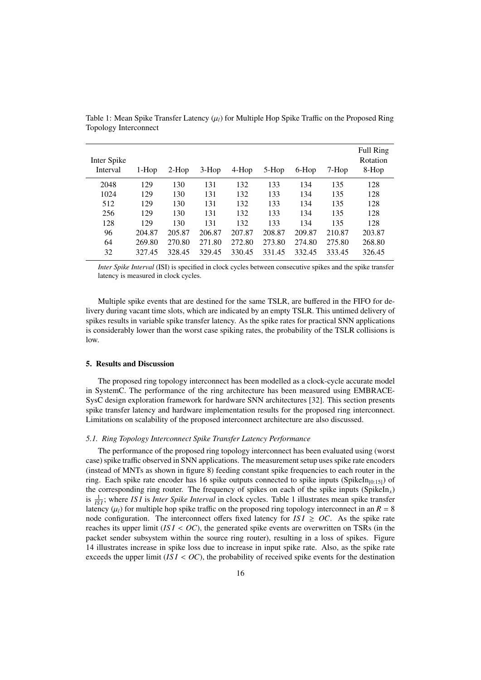| Inter Spike<br>Interval | $1-Hop$ | $2-Hop$ | $3-Hop$ | $4-Hop$ | 5-Hop  | 6-Hop  | 7-Hop  | Full Ring<br>Rotation<br>8-Hop |
|-------------------------|---------|---------|---------|---------|--------|--------|--------|--------------------------------|
| 2048                    | 129     | 130     | 131     | 132     | 133    | 134    | 135    | 128                            |
| 1024                    | 129     | 130     | 131     | 132     | 133    | 134    | 135    | 128                            |
| 512                     | 129     | 130     | 131     | 132     | 133    | 134    | 135    | 128                            |
| 256                     | 129     | 130     | 131     | 132     | 133    | 134    | 135    | 128                            |
| 128                     | 129     | 130     | 131     | 132     | 133    | 134    | 135    | 128                            |
| 96                      | 204.87  | 205.87  | 206.87  | 207.87  | 208.87 | 209.87 | 210.87 | 203.87                         |
| 64                      | 269.80  | 270.80  | 271.80  | 272.80  | 273.80 | 274.80 | 275.80 | 268.80                         |
| 32                      | 327.45  | 328.45  | 329.45  | 330.45  | 331.45 | 332.45 | 333.45 | 326.45                         |

Table 1: Mean Spike Transfer Latency ( $\mu_l$ ) for Multiple Hop Spike Traffic on the Proposed Ring Topology Interconnect

*Inter Spike Interval* (ISI) is specified in clock cycles between consecutive spikes and the spike transfer latency is measured in clock cycles.

Multiple spike events that are destined for the same TSLR, are buffered in the FIFO for delivery during vacant time slots, which are indicated by an empty TSLR. This untimed delivery of spikes results in variable spike transfer latency. As the spike rates for practical SNN applications is considerably lower than the worst case spiking rates, the probability of the TSLR collisions is low.

#### 5. Results and Discussion

The proposed ring topology interconnect has been modelled as a clock-cycle accurate model in SystemC. The performance of the ring architecture has been measured using EMBRACE-SysC design exploration framework for hardware SNN architectures [32]. This section presents spike transfer latency and hardware implementation results for the proposed ring interconnect. Limitations on scalability of the proposed interconnect architecture are also discussed.

## *5.1. Ring Topology Interconnect Spike Transfer Latency Performance*

The performance of the proposed ring topology interconnect has been evaluated using (worst case) spike traffic observed in SNN applications. The measurement setup uses spike rate encoders (instead of MNTs as shown in figure 8) feeding constant spike frequencies to each router in the ring. Each spike rate encoder has 16 spike outputs connected to spike inputs (SpikeIn<sub>[0:15]</sub>) of the corresponding ring router. The frequency of spikes on each of the spike inputs (SpikeIn*x*) is  $\frac{1}{|SI|}$ ; where *ISI* is *Inter Spike Interval* in clock cycles. Table 1 illustrates mean spike transfer latency  $(\mu_l)$  for multiple hop spike traffic on the proposed ring topology interconnect in an  $R = 8$ node configuration. The interconnect offers fixed latency for  $ISI \ge OC$ . As the spike rate reaches its upper limit  $(ISI < OC)$ , the generated spike events are overwritten on TSRs (in the packet sender subsystem within the source ring router), resulting in a loss of spikes. Figure 14 illustrates increase in spike loss due to increase in input spike rate. Also, as the spike rate exceeds the upper limit  $(ISI < OC)$ , the probability of received spike events for the destination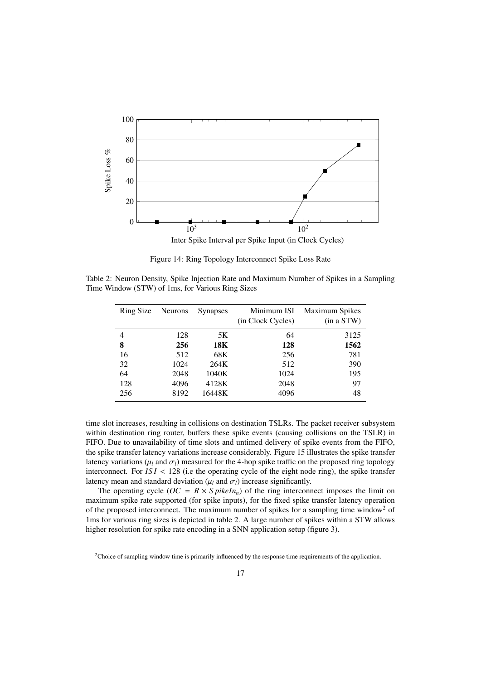

Figure 14: Ring Topology Interconnect Spike Loss Rate

Table 2: Neuron Density, Spike Injection Rate and Maximum Number of Spikes in a Sampling Time Window (STW) of 1ms, for Various Ring Sizes

| Ring Size | <b>Neurons</b> | <b>Synapses</b> | Minimum ISI<br>(in Clock Cycles) | <b>Maximum Spikes</b><br>(in a STW) |
|-----------|----------------|-----------------|----------------------------------|-------------------------------------|
| 4         | 128            | 5K              | 64                               | 3125                                |
| 8         | 256            | 18K             | 128                              | 1562                                |
| 16        | 512            | 68K             | 256                              | 781                                 |
| 32        | 1024           | 264K            | 512                              | 390                                 |
| 64        | 2048           | 1040K           | 1024                             | 195                                 |
| 128       | 4096           | 4128K           | 2048                             | 97                                  |
| 256       | 8192           | 16448K          | 4096                             | 48                                  |

time slot increases, resulting in collisions on destination TSLRs. The packet receiver subsystem within destination ring router, buffers these spike events (causing collisions on the TSLR) in FIFO. Due to unavailability of time slots and untimed delivery of spike events from the FIFO, the spike transfer latency variations increase considerably. Figure 15 illustrates the spike transfer latency variations ( $\mu_l$  and  $\sigma_l$ ) measured for the 4-hop spike traffic on the proposed ring topology interconnect. For  $ISI < 128$  (i.e the operating cycle of the eight node ring), the spike transfer latency mean and standard deviation  $(\mu_l \text{ and } \sigma_l)$  increase significantly.

The operating cycle ( $OC = R \times S$  *pikeIn<sub>n</sub>*) of the ring interconnect imposes the limit on maximum spike rate supported (for spike inputs), for the fixed spike transfer latency operation of the proposed interconnect. The maximum number of spikes for a sampling time window<sup>2</sup> of 1ms for various ring sizes is depicted in table 2. A large number of spikes within a STW allows higher resolution for spike rate encoding in a SNN application setup (figure 3).

<sup>&</sup>lt;sup>2</sup>Choice of sampling window time is primarily influenced by the response time requirements of the application.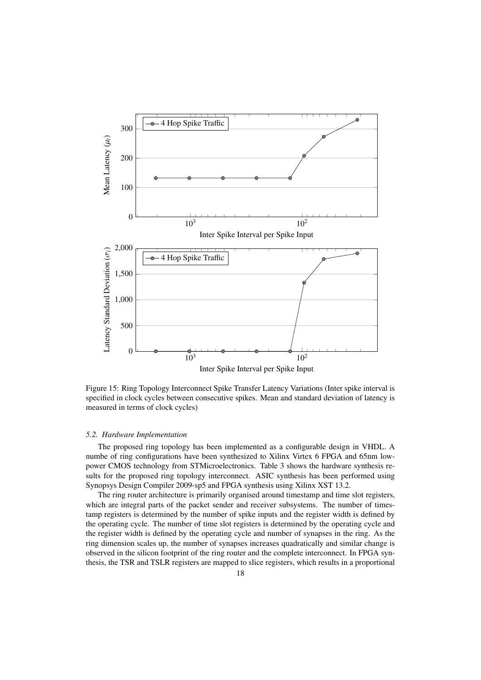

Figure 15: Ring Topology Interconnect Spike Transfer Latency Variations (Inter spike interval is specified in clock cycles between consecutive spikes. Mean and standard deviation of latency is measured in terms of clock cycles)

#### *5.2. Hardware Implementation*

The proposed ring topology has been implemented as a configurable design in VHDL. A numbe of ring configurations have been synthesized to Xilinx Virtex 6 FPGA and 65nm lowpower CMOS technology from STMicroelectronics. Table 3 shows the hardware synthesis results for the proposed ring topology interconnect. ASIC synthesis has been performed using Synopsys Design Compiler 2009-sp5 and FPGA synthesis using Xilinx XST 13.2.

The ring router architecture is primarily organised around timestamp and time slot registers, which are integral parts of the packet sender and receiver subsystems. The number of timestamp registers is determined by the number of spike inputs and the register width is defined by the operating cycle. The number of time slot registers is determined by the operating cycle and the register width is defined by the operating cycle and number of synapses in the ring. As the ring dimension scales up, the number of synapses increases quadratically and similar change is observed in the silicon footprint of the ring router and the complete interconnect. In FPGA synthesis, the TSR and TSLR registers are mapped to slice registers, which results in a proportional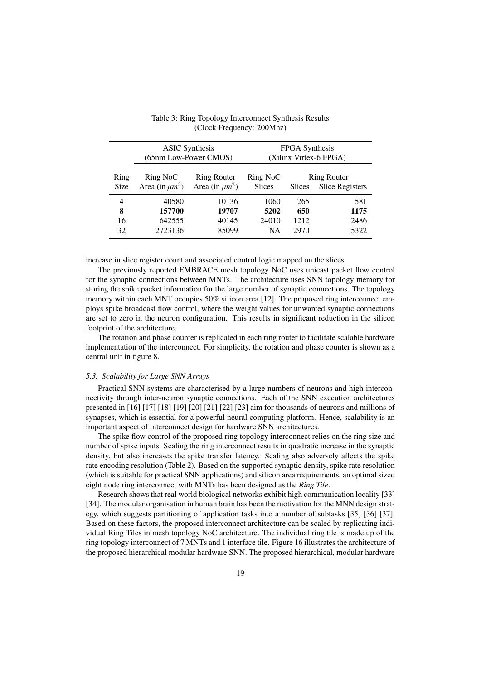|                     | <b>ASIC</b> Synthesis<br>(65nm Low-Power CMOS) | <b>FPGA</b> Synthesis<br>(Xilinx Virtex-6 FPGA) |                           |        |                                              |
|---------------------|------------------------------------------------|-------------------------------------------------|---------------------------|--------|----------------------------------------------|
| Ring<br><b>Size</b> | Ring NoC<br>Area (in $\mu m^2$ )               | <b>Ring Router</b><br>Area (in $\mu m^2$ )      | Ring NoC<br><b>Slices</b> | Slices | <b>Ring Router</b><br><b>Slice Registers</b> |
| 4                   | 40580                                          | 10136                                           | 1060                      | 265    | 581                                          |
| 8                   | 157700                                         | 19707                                           | 5202                      | 650    | 1175                                         |
| 16                  | 642555                                         | 40145                                           | 24010                     | 1212   | 2486                                         |
| 32                  | 2723136                                        | 85099                                           | <b>NA</b>                 | 2970   | 5322                                         |
|                     |                                                |                                                 |                           |        |                                              |

Table 3: Ring Topology Interconnect Synthesis Results (Clock Frequency: 200Mhz)

increase in slice register count and associated control logic mapped on the slices.

The previously reported EMBRACE mesh topology NoC uses unicast packet flow control for the synaptic connections between MNTs. The architecture uses SNN topology memory for storing the spike packet information for the large number of synaptic connections. The topology memory within each MNT occupies 50% silicon area [12]. The proposed ring interconnect employs spike broadcast flow control, where the weight values for unwanted synaptic connections are set to zero in the neuron configuration. This results in significant reduction in the silicon footprint of the architecture.

The rotation and phase counter is replicated in each ring router to facilitate scalable hardware implementation of the interconnect. For simplicity, the rotation and phase counter is shown as a central unit in figure 8.

## *5.3. Scalability for Large SNN Arrays*

Practical SNN systems are characterised by a large numbers of neurons and high interconnectivity through inter-neuron synaptic connections. Each of the SNN execution architectures presented in [16] [17] [18] [19] [20] [21] [22] [23] aim for thousands of neurons and millions of synapses, which is essential for a powerful neural computing platform. Hence, scalability is an important aspect of interconnect design for hardware SNN architectures.

The spike flow control of the proposed ring topology interconnect relies on the ring size and number of spike inputs. Scaling the ring interconnect results in quadratic increase in the synaptic density, but also increases the spike transfer latency. Scaling also adversely affects the spike rate encoding resolution (Table 2). Based on the supported synaptic density, spike rate resolution (which is suitable for practical SNN applications) and silicon area requirements, an optimal sized eight node ring interconnect with MNTs has been designed as the *Ring Tile*.

Research shows that real world biological networks exhibit high communication locality [33] [34]. The modular organisation in human brain has been the motivation for the MNN design strategy, which suggests partitioning of application tasks into a number of subtasks [35] [36] [37]. Based on these factors, the proposed interconnect architecture can be scaled by replicating individual Ring Tiles in mesh topology NoC architecture. The individual ring tile is made up of the ring topology interconnect of 7 MNTs and 1 interface tile. Figure 16 illustrates the architecture of the proposed hierarchical modular hardware SNN. The proposed hierarchical, modular hardware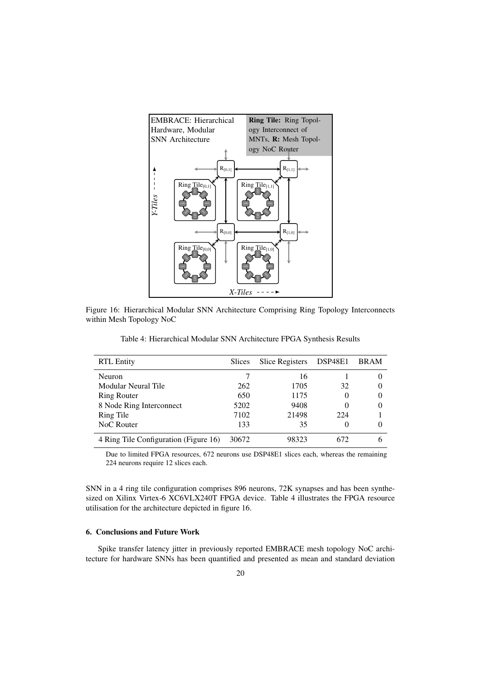

Figure 16: Hierarchical Modular SNN Architecture Comprising Ring Topology Interconnects within Mesh Topology NoC

| <b>RTL Entity</b>   |     | Slices Slice Registers DSP48E1 BRAM |  |
|---------------------|-----|-------------------------------------|--|
| Neuron              |     | 16                                  |  |
| Modular Neural Tile | 262 | 1705                                |  |

Ring Router 650 1175 0 0 8 Node Ring Interconnect 5202 9408 0 0 Ring Tile 7102 21498 224 1 NoC Router 133 35 0 0 0 4 Ring Tile Configuration (Figure 16) 30672 98323 672 6

Table 4: Hierarchical Modular SNN Architecture FPGA Synthesis Results

Due to limited FPGA resources, 672 neurons use DSP48E1 slices each, whereas the remaining 224 neurons require 12 slices each.

SNN in a 4 ring tile configuration comprises 896 neurons, 72K synapses and has been synthesized on Xilinx Virtex-6 XC6VLX240T FPGA device. Table 4 illustrates the FPGA resource utilisation for the architecture depicted in figure 16.

#### 6. Conclusions and Future Work

Spike transfer latency jitter in previously reported EMBRACE mesh topology NoC architecture for hardware SNNs has been quantified and presented as mean and standard deviation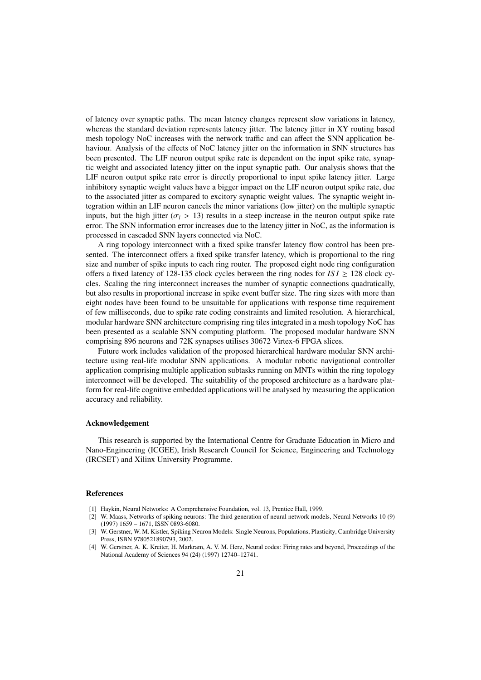of latency over synaptic paths. The mean latency changes represent slow variations in latency, whereas the standard deviation represents latency jitter. The latency jitter in XY routing based mesh topology NoC increases with the network traffic and can affect the SNN application behaviour. Analysis of the effects of NoC latency jitter on the information in SNN structures has been presented. The LIF neuron output spike rate is dependent on the input spike rate, synaptic weight and associated latency jitter on the input synaptic path. Our analysis shows that the LIF neuron output spike rate error is directly proportional to input spike latency jitter. Large inhibitory synaptic weight values have a bigger impact on the LIF neuron output spike rate, due to the associated jitter as compared to excitory synaptic weight values. The synaptic weight integration within an LIF neuron cancels the minor variations (low jitter) on the multiple synaptic inputs, but the high jitter ( $\sigma_l$  > 13) results in a steep increase in the neuron output spike rate error. The SNN information error increases due to the latency jitter in NoC, as the information is processed in cascaded SNN layers connected via NoC.

A ring topology interconnect with a fixed spike transfer latency flow control has been presented. The interconnect offers a fixed spike transfer latency, which is proportional to the ring size and number of spike inputs to each ring router. The proposed eight node ring configuration offers a fixed latency of 128-135 clock cycles between the ring nodes for  $ISI \ge 128$  clock cycles. Scaling the ring interconnect increases the number of synaptic connections quadratically, but also results in proportional increase in spike event buffer size. The ring sizes with more than eight nodes have been found to be unsuitable for applications with response time requirement of few milliseconds, due to spike rate coding constraints and limited resolution. A hierarchical, modular hardware SNN architecture comprising ring tiles integrated in a mesh topology NoC has been presented as a scalable SNN computing platform. The proposed modular hardware SNN comprising 896 neurons and 72K synapses utilises 30672 Virtex-6 FPGA slices.

Future work includes validation of the proposed hierarchical hardware modular SNN architecture using real-life modular SNN applications. A modular robotic navigational controller application comprising multiple application subtasks running on MNTs within the ring topology interconnect will be developed. The suitability of the proposed architecture as a hardware platform for real-life cognitive embedded applications will be analysed by measuring the application accuracy and reliability.

### Acknowledgement

This research is supported by the International Centre for Graduate Education in Micro and Nano-Engineering (ICGEE), Irish Research Council for Science, Engineering and Technology (IRCSET) and Xilinx University Programme.

#### References

- [1] Haykin, Neural Networks: A Comprehensive Foundation, vol. 13, Prentice Hall, 1999.
- [2] W. Maass, Networks of spiking neurons: The third generation of neural network models, Neural Networks 10 (9) (1997) 1659 – 1671, ISSN 0893-6080.
- [3] W. Gerstner, W. M. Kistler, Spiking Neuron Models: Single Neurons, Populations, Plasticity, Cambridge University Press, ISBN 9780521890793, 2002.
- [4] W. Gerstner, A. K. Kreiter, H. Markram, A. V. M. Herz, Neural codes: Firing rates and beyond, Proceedings of the National Academy of Sciences 94 (24) (1997) 12740–12741.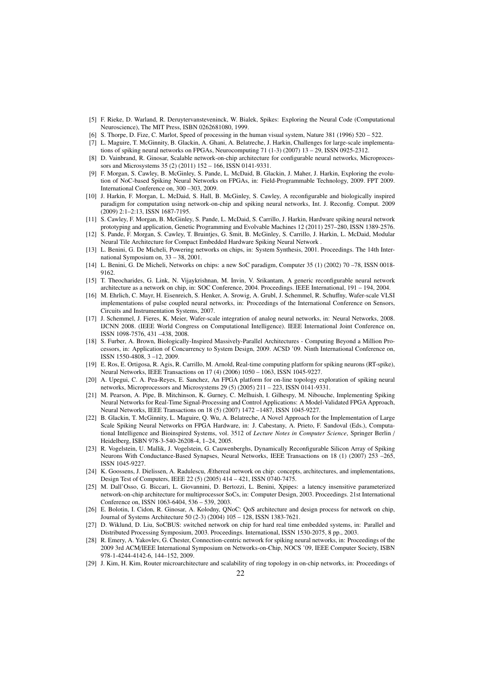- [5] F. Rieke, D. Warland, R. Deruytervansteveninck, W. Bialek, Spikes: Exploring the Neural Code (Computational Neuroscience), The MIT Press, ISBN 0262681080, 1999.
- [6] S. Thorpe, D. Fize, C. Marlot, Speed of processing in the human visual system, Nature 381 (1996) 520 522.
- [7] L. Maguire, T. McGinnity, B. Glackin, A. Ghani, A. Belatreche, J. Harkin, Challenges for large-scale implementations of spiking neural networks on FPGAs, Neurocomputing 71 (1-3) (2007) 13 – 29, ISSN 0925-2312.
- [8] D. Vainbrand, R. Ginosar, Scalable network-on-chip architecture for configurable neural networks, Microprocessors and Microsystems 35 (2) (2011) 152 – 166, ISSN 0141-9331.
- [9] F. Morgan, S. Cawley, B. McGinley, S. Pande, L. McDaid, B. Glackin, J. Maher, J. Harkin, Exploring the evolution of NoC-based Spiking Neural Networks on FPGAs, in: Field-Programmable Technology, 2009. FPT 2009. International Conference on, 300 –303, 2009.
- [10] J. Harkin, F. Morgan, L. McDaid, S. Hall, B. McGinley, S. Cawley, A reconfigurable and biologically inspired paradigm for computation using network-on-chip and spiking neural networks, Int. J. Reconfig. Comput. 2009 (2009) 2:1–2:13, ISSN 1687-7195.
- [11] S. Cawley, F. Morgan, B. McGinley, S. Pande, L. McDaid, S. Carrillo, J. Harkin, Hardware spiking neural network prototyping and application, Genetic Programming and Evolvable Machines 12 (2011) 257–280, ISSN 1389-2576.
- [12] S. Pande, F. Morgan, S. Cawley, T. Bruintjes, G. Smit, B. McGinley, S. Carrillo, J. Harkin, L. McDaid, Modular Neural Tile Architecture for Compact Embedded Hardware Spiking Neural Network .
- [13] L. Benini, G. De Micheli, Powering networks on chips, in: System Synthesis, 2001. Proceedings. The 14th International Symposium on, 33 – 38, 2001.
- [14] L. Benini, G. De Micheli, Networks on chips: a new SoC paradigm, Computer 35 (1) (2002) 70 –78, ISSN 0018- 9162.
- [15] T. Theocharides, G. Link, N. Vijaykrishnan, M. Invin, V. Srikantam, A generic reconfigurable neural network architecture as a network on chip, in: SOC Conference, 2004. Proceedings. IEEE International, 191 – 194, 2004.
- [16] M. Ehrlich, C. Mayr, H. Eisenreich, S. Henker, A. Srowig, A. Grubl, J. Schemmel, R. Schuffny, Wafer-scale VLSI implementations of pulse coupled neural networks, in: Proceedings of the International Conference on Sensors, Circuits and Instrumentation Systems, 2007.
- [17] J. Schemmel, J. Fieres, K. Meier, Wafer-scale integration of analog neural networks, in: Neural Networks, 2008. IJCNN 2008. (IEEE World Congress on Computational Intelligence). IEEE International Joint Conference on, ISSN 1098-7576, 431 –438, 2008.
- [18] S. Furber, A. Brown, Biologically-Inspired Massively-Parallel Architectures Computing Beyond a Million Processors, in: Application of Concurrency to System Design, 2009. ACSD '09. Ninth International Conference on, ISSN 1550-4808, 3 –12, 2009.
- [19] E. Ros, E. Ortigosa, R. Agis, R. Carrillo, M. Arnold, Real-time computing platform for spiking neurons (RT-spike), Neural Networks, IEEE Transactions on 17 (4) (2006) 1050 – 1063, ISSN 1045-9227.
- [20] A. Upegui, C. A. Pea-Reyes, E. Sanchez, An FPGA platform for on-line topology exploration of spiking neural networks, Microprocessors and Microsystems 29 (5) (2005) 211 – 223, ISSN 0141-9331.
- [21] M. Pearson, A. Pipe, B. Mitchinson, K. Gurney, C. Melhuish, I. Gilhespy, M. Nibouche, Implementing Spiking Neural Networks for Real-Time Signal-Processing and Control Applications: A Model-Validated FPGA Approach, Neural Networks, IEEE Transactions on 18 (5) (2007) 1472 –1487, ISSN 1045-9227.
- [22] B. Glackin, T. McGinnity, L. Maguire, Q. Wu, A. Belatreche, A Novel Approach for the Implementation of Large Scale Spiking Neural Networks on FPGA Hardware, in: J. Cabestany, A. Prieto, F. Sandoval (Eds.), Computational Intelligence and Bioinspired Systems, vol. 3512 of *Lecture Notes in Computer Science*, Springer Berlin / Heidelberg, ISBN 978-3-540-26208-4, 1–24, 2005.
- [23] R. Vogelstein, U. Mallik, J. Vogelstein, G. Cauwenberghs, Dynamically Reconfigurable Silicon Array of Spiking Neurons With Conductance-Based Synapses, Neural Networks, IEEE Transactions on 18 (1) (2007) 253 –265, ISSN 1045-9227.
- [24] K. Goossens, J. Dielissen, A. Radulescu, Æthereal network on chip: concepts, architectures, and implementations, Design Test of Computers, IEEE 22 (5) (2005) 414 – 421, ISSN 0740-7475.
- [25] M. Dall'Osso, G. Biccari, L. Giovannini, D. Bertozzi, L. Benini, Xpipes: a latency insensitive parameterized network-on-chip architecture for multiprocessor SoCs, in: Computer Design, 2003. Proceedings. 21st International Conference on, ISSN 1063-6404, 536 – 539, 2003.
- [26] E. Bolotin, I. Cidon, R. Ginosar, A. Kolodny, QNoC: QoS architecture and design process for network on chip, Journal of Systems Architecture 50 (2-3) (2004) 105 – 128, ISSN 1383-7621.
- [27] D. Wiklund, D. Liu, SoCBUS: switched network on chip for hard real time embedded systems, in: Parallel and Distributed Processing Symposium, 2003. Proceedings. International, ISSN 1530-2075, 8 pp., 2003.
- [28] R. Emery, A. Yakovlev, G. Chester, Connection-centric network for spiking neural networks, in: Proceedings of the 2009 3rd ACM/IEEE International Symposium on Networks-on-Chip, NOCS '09, IEEE Computer Society, ISBN 978-1-4244-4142-6, 144–152, 2009.
- [29] J. Kim, H. Kim, Router microarchitecture and scalability of ring topology in on-chip networks, in: Proceedings of